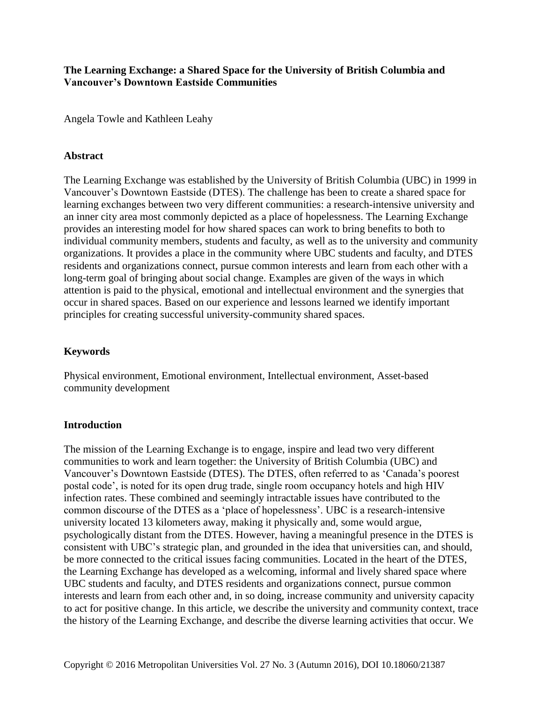**The Learning Exchange: a Shared Space for the University of British Columbia and Vancouver's Downtown Eastside Communities**

Angela Towle and Kathleen Leahy

#### **Abstract**

The Learning Exchange was established by the University of British Columbia (UBC) in 1999 in Vancouver's Downtown Eastside (DTES). The challenge has been to create a shared space for learning exchanges between two very different communities: a research-intensive university and an inner city area most commonly depicted as a place of hopelessness. The Learning Exchange provides an interesting model for how shared spaces can work to bring benefits to both to individual community members, students and faculty, as well as to the university and community organizations. It provides a place in the community where UBC students and faculty, and DTES residents and organizations connect, pursue common interests and learn from each other with a long-term goal of bringing about social change. Examples are given of the ways in which attention is paid to the physical, emotional and intellectual environment and the synergies that occur in shared spaces. Based on our experience and lessons learned we identify important principles for creating successful university-community shared spaces.

#### **Keywords**

Physical environment, Emotional environment, Intellectual environment, Asset-based community development

#### **Introduction**

The mission of the Learning Exchange is to engage, inspire and lead two very different communities to work and learn together: the University of British Columbia (UBC) and Vancouver's Downtown Eastside (DTES). The DTES, often referred to as 'Canada's poorest postal code', is noted for its open drug trade, single room occupancy hotels and high HIV infection rates. These combined and seemingly intractable issues have contributed to the common discourse of the DTES as a 'place of hopelessness'. UBC is a research-intensive university located 13 kilometers away, making it physically and, some would argue, psychologically distant from the DTES. However, having a meaningful presence in the DTES is consistent with UBC's strategic plan, and grounded in the idea that universities can, and should, be more connected to the critical issues facing communities. Located in the heart of the DTES, the Learning Exchange has developed as a welcoming, informal and lively shared space where UBC students and faculty, and DTES residents and organizations connect, pursue common interests and learn from each other and, in so doing, increase community and university capacity to act for positive change. In this article, we describe the university and community context, trace the history of the Learning Exchange, and describe the diverse learning activities that occur. We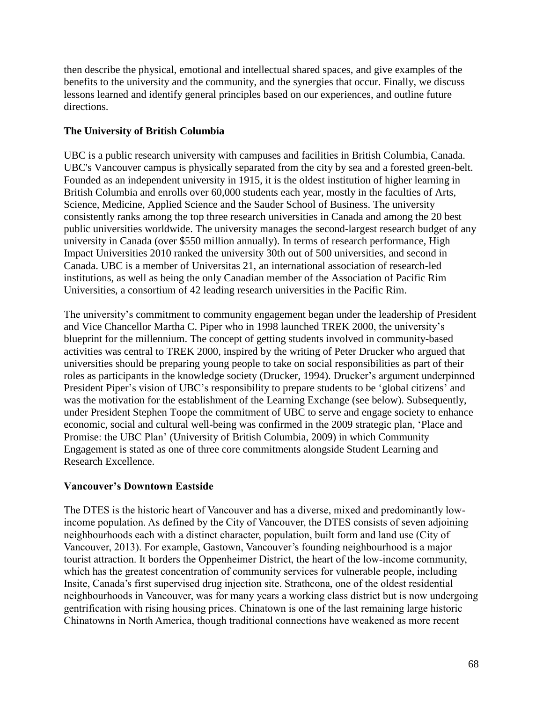then describe the physical, emotional and intellectual shared spaces, and give examples of the benefits to the university and the community, and the synergies that occur. Finally, we discuss lessons learned and identify general principles based on our experiences, and outline future directions.

## **The University of British Columbia**

UBC is a public research university with campuses and facilities in British Columbia, Canada. UBC's Vancouver campus is physically separated from the city by sea and a forested green-belt. Founded as an independent university in 1915, it is the oldest institution of higher learning in British Columbia and enrolls over 60,000 students each year, mostly in the faculties of Arts, Science, Medicine, Applied Science and the Sauder School of Business. The university consistently ranks among the top three research universities in Canada and among the 20 best public universities worldwide. The university manages the second-largest research budget of any university in Canada (over \$550 million annually). In terms of research performance, High Impact Universities 2010 ranked the university 30th out of 500 universities, and second in Canada. UBC is a member of Universitas 21, an international association of research-led institutions, as well as being the only Canadian member of the Association of Pacific Rim Universities, a consortium of 42 leading research universities in the Pacific Rim.

The university's commitment to community engagement began under the leadership of President and Vice Chancellor Martha C. Piper who in 1998 launched TREK 2000, the university's blueprint for the millennium. The concept of getting students involved in community-based activities was central to TREK 2000, inspired by the writing of Peter Drucker who argued that universities should be preparing young people to take on social responsibilities as part of their roles as participants in the knowledge society (Drucker, 1994). Drucker's argument underpinned President Piper's vision of UBC's responsibility to prepare students to be 'global citizens' and was the motivation for the establishment of the Learning Exchange (see below). Subsequently, under President Stephen Toope the commitment of UBC to serve and engage society to enhance economic, social and cultural well-being was confirmed in the 2009 strategic plan, 'Place and Promise: the UBC Plan' (University of British Columbia, 2009) in which Community Engagement is stated as one of three core commitments alongside Student Learning and Research Excellence.

# **Vancouver's Downtown Eastside**

The DTES is the historic heart of Vancouver and has a diverse, mixed and predominantly lowincome population. As defined by the City of Vancouver, the DTES consists of seven adjoining neighbourhoods each with a distinct character, population, built form and land use (City of Vancouver, 2013). For example, Gastown, Vancouver's founding neighbourhood is a major tourist attraction. It borders the Oppenheimer District, the heart of the low-income community, which has the greatest concentration of community services for vulnerable people, including Insite, Canada's first supervised drug injection site. Strathcona, one of the oldest residential neighbourhoods in Vancouver, was for many years a working class district but is now undergoing gentrification with rising housing prices. Chinatown is one of the last remaining large historic Chinatowns in North America, though traditional connections have weakened as more recent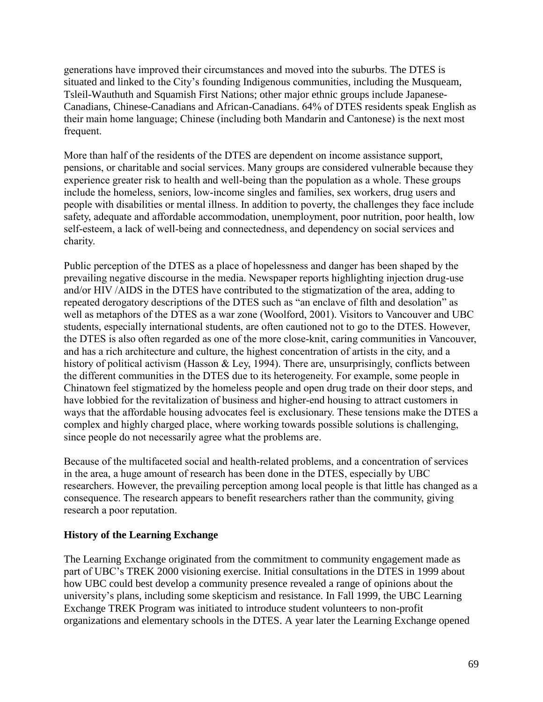generations have improved their circumstances and moved into the suburbs. The DTES is situated and linked to the City's founding Indigenous communities, including the Musqueam, Tsleil-Wauthuth and Squamish First Nations; other major ethnic groups include Japanese-Canadians, Chinese-Canadians and African-Canadians. 64% of DTES residents speak English as their main home language; Chinese (including both Mandarin and Cantonese) is the next most frequent.

More than half of the residents of the DTES are dependent on income assistance support, pensions, or charitable and social services. Many groups are considered vulnerable because they experience greater risk to health and well-being than the population as a whole. These groups include the homeless, seniors, low-income singles and families, sex workers, drug users and people with disabilities or mental illness. In addition to poverty, the challenges they face include safety, adequate and affordable accommodation, unemployment, poor nutrition, poor health, low self-esteem, a lack of well-being and connectedness, and dependency on social services and charity.

Public perception of the DTES as a place of hopelessness and danger has been shaped by the prevailing negative discourse in the media. Newspaper reports highlighting injection drug-use and/or HIV /AIDS in the DTES have contributed to the stigmatization of the area, adding to repeated derogatory descriptions of the DTES such as "an enclave of filth and desolation" as well as metaphors of the DTES as a war zone (Woolford, 2001). Visitors to Vancouver and UBC students, especially international students, are often cautioned not to go to the DTES. However, the DTES is also often regarded as one of the more close-knit, caring communities in Vancouver, and has a rich architecture and culture, the highest concentration of artists in the city, and a history of political activism (Hasson & Ley, 1994). There are, unsurprisingly, conflicts between the different communities in the DTES due to its heterogeneity. For example, some people in Chinatown feel stigmatized by the homeless people and open drug trade on their door steps, and have lobbied for the revitalization of business and higher-end housing to attract customers in ways that the affordable housing advocates feel is exclusionary. These tensions make the DTES a complex and highly charged place, where working towards possible solutions is challenging, since people do not necessarily agree what the problems are.

Because of the multifaceted social and health-related problems, and a concentration of services in the area, a huge amount of research has been done in the DTES, especially by UBC researchers. However, the prevailing perception among local people is that little has changed as a consequence. The research appears to benefit researchers rather than the community, giving research a poor reputation.

### **History of the Learning Exchange**

The Learning Exchange originated from the commitment to community engagement made as part of UBC's TREK 2000 visioning exercise. Initial consultations in the DTES in 1999 about how UBC could best develop a community presence revealed a range of opinions about the university's plans, including some skepticism and resistance. In Fall 1999, the UBC Learning Exchange TREK Program was initiated to introduce student volunteers to non-profit organizations and elementary schools in the DTES. A year later the Learning Exchange opened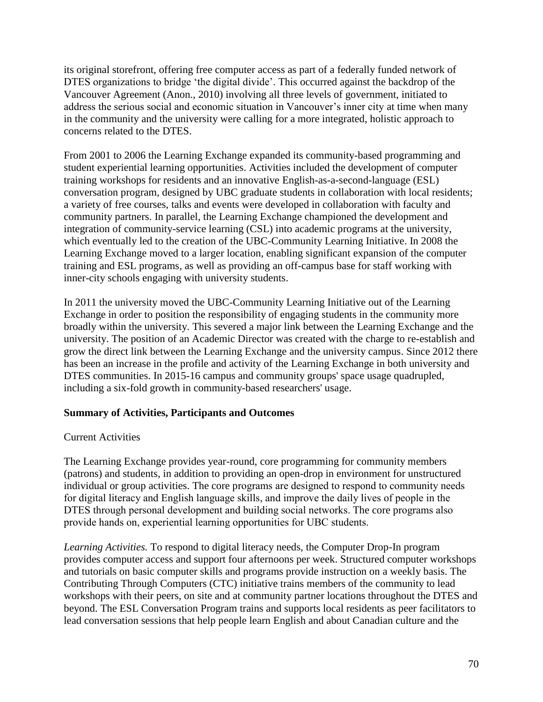its original storefront, offering free computer access as part of a federally funded network of DTES organizations to bridge 'the digital divide'. This occurred against the backdrop of the Vancouver Agreement (Anon., 2010) involving all three levels of government, initiated to address the serious social and economic situation in Vancouver's inner city at time when many in the community and the university were calling for a more integrated, holistic approach to concerns related to the DTES.

From 2001 to 2006 the Learning Exchange expanded its community-based programming and student experiential learning opportunities. Activities included the development of computer training workshops for residents and an innovative English-as-a-second-language (ESL) conversation program, designed by UBC graduate students in collaboration with local residents; a variety of free courses, talks and events were developed in collaboration with faculty and community partners. In parallel, the Learning Exchange championed the development and integration of community-service learning (CSL) into academic programs at the university, which eventually led to the creation of the UBC-Community Learning Initiative. In 2008 the Learning Exchange moved to a larger location, enabling significant expansion of the computer training and ESL programs, as well as providing an off-campus base for staff working with inner-city schools engaging with university students.

In 2011 the university moved the UBC-Community Learning Initiative out of the Learning Exchange in order to position the responsibility of engaging students in the community more broadly within the university. This severed a major link between the Learning Exchange and the university. The position of an Academic Director was created with the charge to re-establish and grow the direct link between the Learning Exchange and the university campus. Since 2012 there has been an increase in the profile and activity of the Learning Exchange in both university and DTES communities. In 2015-16 campus and community groups' space usage quadrupled, including a six-fold growth in community-based researchers' usage.

### **Summary of Activities, Participants and Outcomes**

#### Current Activities

The Learning Exchange provides year-round, core programming for community members (patrons) and students, in addition to providing an open-drop in environment for unstructured individual or group activities. The core programs are designed to respond to community needs for digital literacy and English language skills, and improve the daily lives of people in the DTES through personal development and building social networks. The core programs also provide hands on, experiential learning opportunities for UBC students.

*Learning Activities.* To respond to digital literacy needs, the Computer Drop-In program provides computer access and support four afternoons per week. Structured computer workshops and tutorials on basic computer skills and programs provide instruction on a weekly basis. The Contributing Through Computers (CTC) initiative trains members of the community to lead workshops with their peers, on site and at community partner locations throughout the DTES and beyond. The ESL Conversation Program trains and supports local residents as peer facilitators to lead conversation sessions that help people learn English and about Canadian culture and the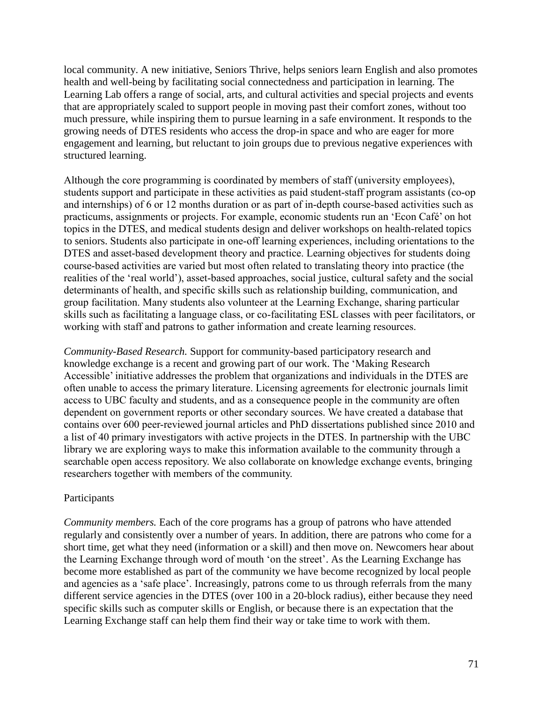local community. A new initiative, Seniors Thrive, helps seniors learn English and also promotes health and well-being by facilitating social connectedness and participation in learning. The Learning Lab offers a range of social, arts, and cultural activities and special projects and events that are appropriately scaled to support people in moving past their comfort zones, without too much pressure, while inspiring them to pursue learning in a safe environment. It responds to the growing needs of DTES residents who access the drop-in space and who are eager for more engagement and learning, but reluctant to join groups due to previous negative experiences with structured learning.

Although the core programming is coordinated by members of staff (university employees), students support and participate in these activities as paid student-staff program assistants (co-op and internships) of 6 or 12 months duration or as part of in-depth course-based activities such as practicums, assignments or projects. For example, economic students run an 'Econ Café' on hot topics in the DTES, and medical students design and deliver workshops on health-related topics to seniors. Students also participate in one-off learning experiences, including orientations to the DTES and asset-based development theory and practice. Learning objectives for students doing course-based activities are varied but most often related to translating theory into practice (the realities of the 'real world'), asset-based approaches, social justice, cultural safety and the social determinants of health, and specific skills such as relationship building, communication, and group facilitation. Many students also volunteer at the Learning Exchange, sharing particular skills such as facilitating a language class, or co-facilitating ESL classes with peer facilitators, or working with staff and patrons to gather information and create learning resources.

*Community-Based Research.* Support for community-based participatory research and knowledge exchange is a recent and growing part of our work. The 'Making Research Accessible' initiative addresses the problem that organizations and individuals in the DTES are often unable to access the primary literature. Licensing agreements for electronic journals limit access to UBC faculty and students, and as a consequence people in the community are often dependent on government reports or other secondary sources. We have created a database that contains over 600 peer-reviewed journal articles and PhD dissertations published since 2010 and a list of 40 primary investigators with active projects in the DTES. In partnership with the UBC library we are exploring ways to make this information available to the community through a searchable open access repository. We also collaborate on knowledge exchange events, bringing researchers together with members of the community.

#### Participants

*Community members.* Each of the core programs has a group of patrons who have attended regularly and consistently over a number of years. In addition, there are patrons who come for a short time, get what they need (information or a skill) and then move on. Newcomers hear about the Learning Exchange through word of mouth 'on the street'. As the Learning Exchange has become more established as part of the community we have become recognized by local people and agencies as a 'safe place'. Increasingly, patrons come to us through referrals from the many different service agencies in the DTES (over 100 in a 20-block radius), either because they need specific skills such as computer skills or English, or because there is an expectation that the Learning Exchange staff can help them find their way or take time to work with them.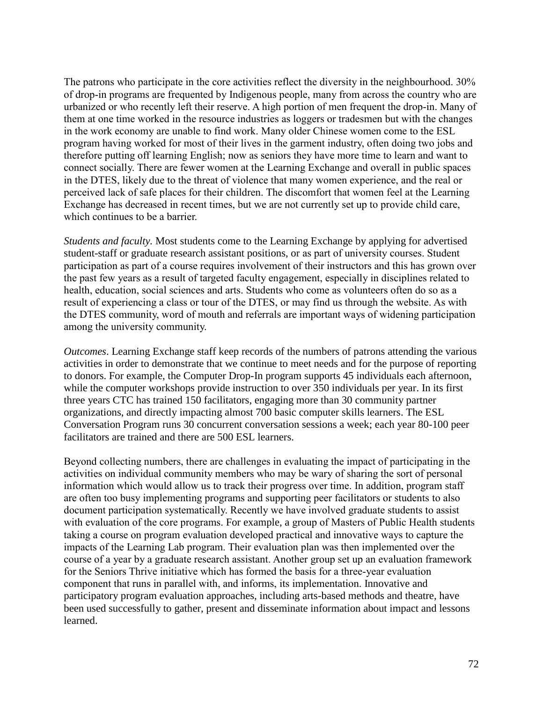The patrons who participate in the core activities reflect the diversity in the neighbourhood. 30% of drop-in programs are frequented by Indigenous people, many from across the country who are urbanized or who recently left their reserve. A high portion of men frequent the drop-in. Many of them at one time worked in the resource industries as loggers or tradesmen but with the changes in the work economy are unable to find work. Many older Chinese women come to the ESL program having worked for most of their lives in the garment industry, often doing two jobs and therefore putting off learning English; now as seniors they have more time to learn and want to connect socially. There are fewer women at the Learning Exchange and overall in public spaces in the DTES, likely due to the threat of violence that many women experience, and the real or perceived lack of safe places for their children. The discomfort that women feel at the Learning Exchange has decreased in recent times, but we are not currently set up to provide child care, which continues to be a barrier.

*Students and faculty.* Most students come to the Learning Exchange by applying for advertised student-staff or graduate research assistant positions, or as part of university courses. Student participation as part of a course requires involvement of their instructors and this has grown over the past few years as a result of targeted faculty engagement, especially in disciplines related to health, education, social sciences and arts. Students who come as volunteers often do so as a result of experiencing a class or tour of the DTES, or may find us through the website. As with the DTES community, word of mouth and referrals are important ways of widening participation among the university community.

*Outcomes*. Learning Exchange staff keep records of the numbers of patrons attending the various activities in order to demonstrate that we continue to meet needs and for the purpose of reporting to donors. For example, the Computer Drop-In program supports 45 individuals each afternoon, while the computer workshops provide instruction to over 350 individuals per year. In its first three years CTC has trained 150 facilitators, engaging more than 30 community partner organizations, and directly impacting almost 700 basic computer skills learners. The ESL Conversation Program runs 30 concurrent conversation sessions a week; each year 80-100 peer facilitators are trained and there are 500 ESL learners.

Beyond collecting numbers, there are challenges in evaluating the impact of participating in the activities on individual community members who may be wary of sharing the sort of personal information which would allow us to track their progress over time. In addition, program staff are often too busy implementing programs and supporting peer facilitators or students to also document participation systematically. Recently we have involved graduate students to assist with evaluation of the core programs. For example, a group of Masters of Public Health students taking a course on program evaluation developed practical and innovative ways to capture the impacts of the Learning Lab program. Their evaluation plan was then implemented over the course of a year by a graduate research assistant. Another group set up an evaluation framework for the Seniors Thrive initiative which has formed the basis for a three-year evaluation component that runs in parallel with, and informs, its implementation. Innovative and participatory program evaluation approaches, including arts-based methods and theatre, have been used successfully to gather, present and disseminate information about impact and lessons learned.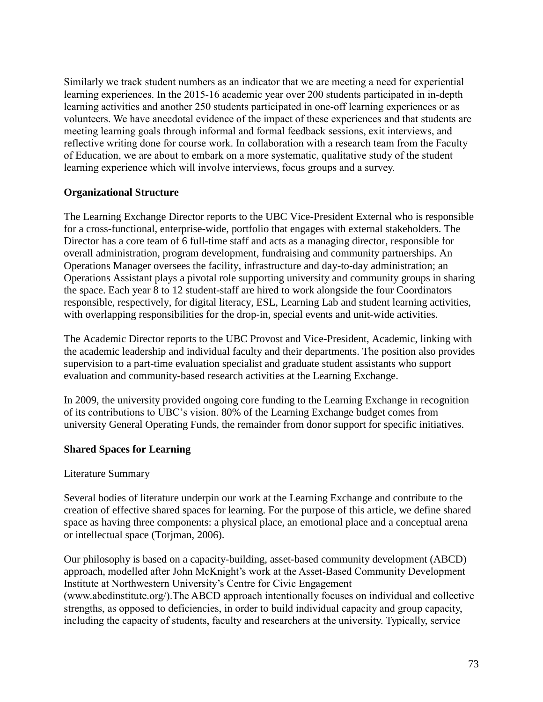Similarly we track student numbers as an indicator that we are meeting a need for experiential learning experiences. In the 2015-16 academic year over 200 students participated in in-depth learning activities and another 250 students participated in one-off learning experiences or as volunteers. We have anecdotal evidence of the impact of these experiences and that students are meeting learning goals through informal and formal feedback sessions, exit interviews, and reflective writing done for course work. In collaboration with a research team from the Faculty of Education, we are about to embark on a more systematic, qualitative study of the student learning experience which will involve interviews, focus groups and a survey.

### **Organizational Structure**

The Learning Exchange Director reports to the UBC Vice-President External who is responsible for a cross-functional, enterprise-wide, portfolio that engages with external stakeholders. The Director has a core team of 6 full-time staff and acts as a managing director, responsible for overall administration, program development, fundraising and community partnerships. An Operations Manager oversees the facility, infrastructure and day-to-day administration; an Operations Assistant plays a pivotal role supporting university and community groups in sharing the space. Each year 8 to 12 student-staff are hired to work alongside the four Coordinators responsible, respectively, for digital literacy, ESL, Learning Lab and student learning activities, with overlapping responsibilities for the drop-in, special events and unit-wide activities.

The Academic Director reports to the UBC Provost and Vice-President, Academic, linking with the academic leadership and individual faculty and their departments. The position also provides supervision to a part-time evaluation specialist and graduate student assistants who support evaluation and community-based research activities at the Learning Exchange.

In 2009, the university provided ongoing core funding to the Learning Exchange in recognition of its contributions to UBC's vision. 80% of the Learning Exchange budget comes from university General Operating Funds, the remainder from donor support for specific initiatives.

#### **Shared Spaces for Learning**

#### Literature Summary

Several bodies of literature underpin our work at the Learning Exchange and contribute to the creation of effective shared spaces for learning. For the purpose of this article, we define shared space as having three components: a physical place, an emotional place and a conceptual arena or intellectual space (Torjman, 2006).

Our philosophy is based on a capacity-building, asset-based community development (ABCD) approach, modelled after John McKnight's work at the Asset-Based Community Development Institute at Northwestern University's Centre for Civic Engagement (www.abcdinstitute.org/).The ABCD approach intentionally focuses on individual and collective strengths, as opposed to deficiencies, in order to build individual capacity and group capacity, including the capacity of students, faculty and researchers at the university. Typically, service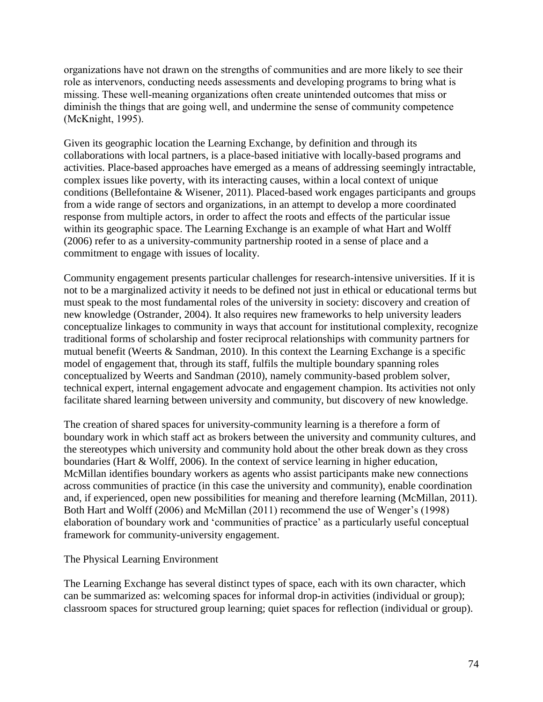organizations have not drawn on the strengths of communities and are more likely to see their role as intervenors, conducting needs assessments and developing programs to bring what is missing. These well-meaning organizations often create unintended outcomes that miss or diminish the things that are going well, and undermine the sense of community competence (McKnight, 1995).

Given its geographic location the Learning Exchange, by definition and through its collaborations with local partners, is a place-based initiative with locally-based programs and activities. Place-based approaches have emerged as a means of addressing seemingly intractable, complex issues like poverty, with its interacting causes, within a local context of unique conditions (Bellefontaine & Wisener, 2011). Placed-based work engages participants and groups from a wide range of sectors and organizations, in an attempt to develop a more coordinated response from multiple actors, in order to affect the roots and effects of the particular issue within its geographic space. The Learning Exchange is an example of what Hart and Wolff (2006) refer to as a university-community partnership rooted in a sense of place and a commitment to engage with issues of locality.

Community engagement presents particular challenges for research-intensive universities. If it is not to be a marginalized activity it needs to be defined not just in ethical or educational terms but must speak to the most fundamental roles of the university in society: discovery and creation of new knowledge (Ostrander, 2004). It also requires new frameworks to help university leaders conceptualize linkages to community in ways that account for institutional complexity, recognize traditional forms of scholarship and foster reciprocal relationships with community partners for mutual benefit (Weerts & Sandman, 2010). In this context the Learning Exchange is a specific model of engagement that, through its staff, fulfils the multiple boundary spanning roles conceptualized by Weerts and Sandman (2010), namely community-based problem solver, technical expert, internal engagement advocate and engagement champion. Its activities not only facilitate shared learning between university and community, but discovery of new knowledge.

The creation of shared spaces for university-community learning is a therefore a form of boundary work in which staff act as brokers between the university and community cultures, and the stereotypes which university and community hold about the other break down as they cross boundaries (Hart & Wolff, 2006). In the context of service learning in higher education, McMillan identifies boundary workers as agents who assist participants make new connections across communities of practice (in this case the university and community), enable coordination and, if experienced, open new possibilities for meaning and therefore learning (McMillan, 2011). Both Hart and Wolff (2006) and McMillan (2011) recommend the use of Wenger's (1998) elaboration of boundary work and 'communities of practice' as a particularly useful conceptual framework for community-university engagement.

#### The Physical Learning Environment

The Learning Exchange has several distinct types of space, each with its own character, which can be summarized as: welcoming spaces for informal drop-in activities (individual or group); classroom spaces for structured group learning; quiet spaces for reflection (individual or group).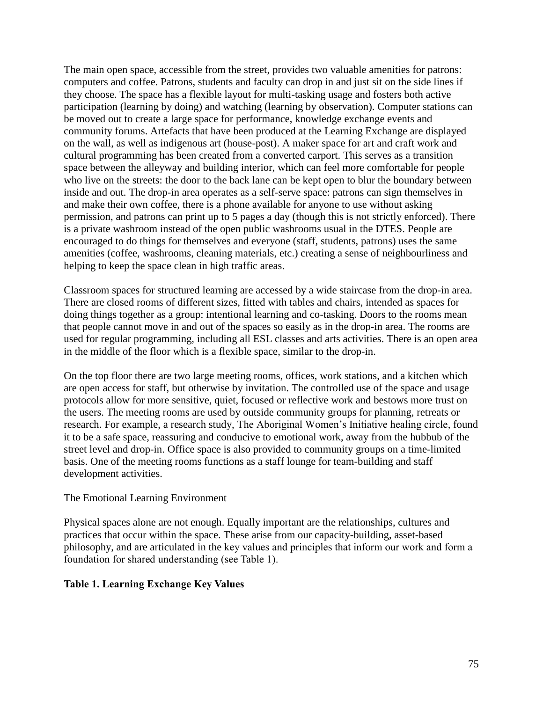The main open space, accessible from the street, provides two valuable amenities for patrons: computers and coffee. Patrons, students and faculty can drop in and just sit on the side lines if they choose. The space has a flexible layout for multi-tasking usage and fosters both active participation (learning by doing) and watching (learning by observation). Computer stations can be moved out to create a large space for performance, knowledge exchange events and community forums. Artefacts that have been produced at the Learning Exchange are displayed on the wall, as well as indigenous art (house-post). A maker space for art and craft work and cultural programming has been created from a converted carport. This serves as a transition space between the alleyway and building interior, which can feel more comfortable for people who live on the streets: the door to the back lane can be kept open to blur the boundary between inside and out. The drop-in area operates as a self-serve space: patrons can sign themselves in and make their own coffee, there is a phone available for anyone to use without asking permission, and patrons can print up to 5 pages a day (though this is not strictly enforced). There is a private washroom instead of the open public washrooms usual in the DTES. People are encouraged to do things for themselves and everyone (staff, students, patrons) uses the same amenities (coffee, washrooms, cleaning materials, etc.) creating a sense of neighbourliness and helping to keep the space clean in high traffic areas.

Classroom spaces for structured learning are accessed by a wide staircase from the drop-in area. There are closed rooms of different sizes, fitted with tables and chairs, intended as spaces for doing things together as a group: intentional learning and co-tasking. Doors to the rooms mean that people cannot move in and out of the spaces so easily as in the drop-in area. The rooms are used for regular programming, including all ESL classes and arts activities. There is an open area in the middle of the floor which is a flexible space, similar to the drop-in.

On the top floor there are two large meeting rooms, offices, work stations, and a kitchen which are open access for staff, but otherwise by invitation. The controlled use of the space and usage protocols allow for more sensitive, quiet, focused or reflective work and bestows more trust on the users. The meeting rooms are used by outside community groups for planning, retreats or research. For example, a research study, The Aboriginal Women's Initiative healing circle, found it to be a safe space, reassuring and conducive to emotional work, away from the hubbub of the street level and drop-in. Office space is also provided to community groups on a time-limited basis. One of the meeting rooms functions as a staff lounge for team-building and staff development activities.

### The Emotional Learning Environment

Physical spaces alone are not enough. Equally important are the relationships, cultures and practices that occur within the space. These arise from our capacity-building, asset-based philosophy, and are articulated in the key values and principles that inform our work and form a foundation for shared understanding (see Table 1).

### **Table 1. Learning Exchange Key Values**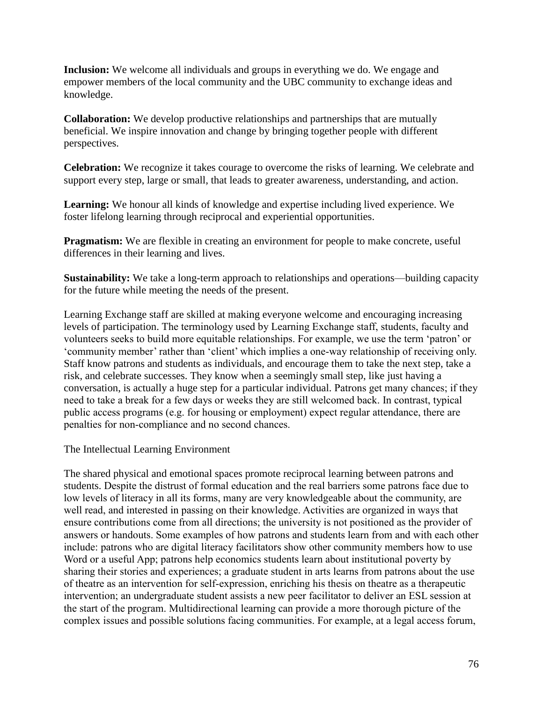**Inclusion:** We welcome all individuals and groups in everything we do. We engage and empower members of the local community and the UBC community to exchange ideas and knowledge.

**Collaboration:** We develop productive relationships and partnerships that are mutually beneficial. We inspire innovation and change by bringing together people with different perspectives.

**Celebration:** We recognize it takes courage to overcome the risks of learning. We celebrate and support every step, large or small, that leads to greater awareness, understanding, and action.

**Learning:** We honour all kinds of knowledge and expertise including lived experience. We foster lifelong learning through reciprocal and experiential opportunities.

**Pragmatism:** We are flexible in creating an environment for people to make concrete, useful differences in their learning and lives.

**Sustainability:** We take a long-term approach to relationships and operations—building capacity for the future while meeting the needs of the present.

Learning Exchange staff are skilled at making everyone welcome and encouraging increasing levels of participation. The terminology used by Learning Exchange staff, students, faculty and volunteers seeks to build more equitable relationships. For example, we use the term 'patron' or 'community member' rather than 'client' which implies a one-way relationship of receiving only. Staff know patrons and students as individuals, and encourage them to take the next step, take a risk, and celebrate successes. They know when a seemingly small step, like just having a conversation, is actually a huge step for a particular individual. Patrons get many chances; if they need to take a break for a few days or weeks they are still welcomed back. In contrast, typical public access programs (e.g. for housing or employment) expect regular attendance, there are penalties for non-compliance and no second chances.

The Intellectual Learning Environment

The shared physical and emotional spaces promote reciprocal learning between patrons and students. Despite the distrust of formal education and the real barriers some patrons face due to low levels of literacy in all its forms, many are very knowledgeable about the community, are well read, and interested in passing on their knowledge. Activities are organized in ways that ensure contributions come from all directions; the university is not positioned as the provider of answers or handouts. Some examples of how patrons and students learn from and with each other include: patrons who are digital literacy facilitators show other community members how to use Word or a useful App; patrons help economics students learn about institutional poverty by sharing their stories and experiences; a graduate student in arts learns from patrons about the use of theatre as an intervention for self-expression, enriching his thesis on theatre as a therapeutic intervention; an undergraduate student assists a new peer facilitator to deliver an ESL session at the start of the program. Multidirectional learning can provide a more thorough picture of the complex issues and possible solutions facing communities. For example, at a legal access forum,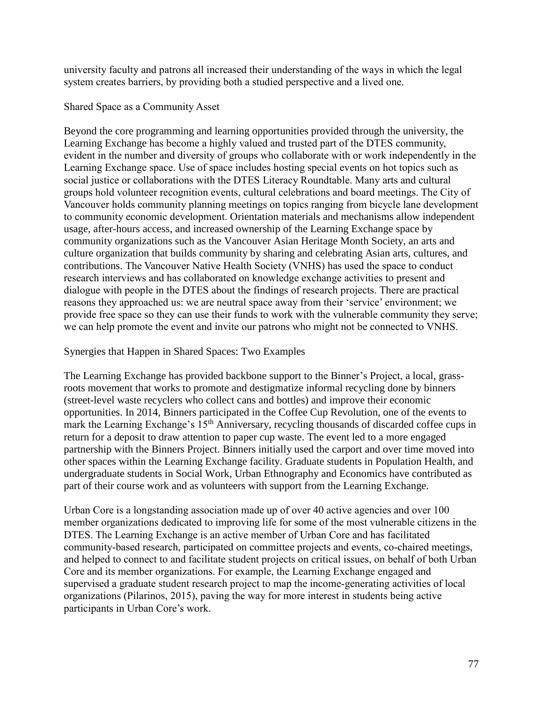university faculty and patrons all increased their understanding of the ways in which the legal system creates barriers, by providing both a studied perspective and a lived one.

## Shared Space as a Community Asset

Beyond the core programming and learning opportunities provided through the university, the Learning Exchange has become a highly valued and trusted part of the DTES community, evident in the number and diversity of groups who collaborate with or work independently in the Learning Exchange space. Use of space includes hosting special events on hot topics such as social justice or collaborations with the DTES Literacy Roundtable. Many arts and cultural groups hold volunteer recognition events, cultural celebrations and board meetings. The City of Vancouver holds community planning meetings on topics ranging from bicycle lane development to community economic development. Orientation materials and mechanisms allow independent usage, after-hours access, and increased ownership of the Learning Exchange space by community organizations such as the Vancouver Asian Heritage Month Society, an arts and culture organization that builds community by sharing and celebrating Asian arts, cultures, and contributions. The Vancouver Native Health Society (VNHS) has used the space to conduct research interviews and has collaborated on knowledge exchange activities to present and dialogue with people in the DTES about the findings of research projects. There are practical reasons they approached us: we are neutral space away from their 'service' environment; we provide free space so they can use their funds to work with the vulnerable community they serve; we can help promote the event and invite our patrons who might not be connected to VNHS.

### Synergies that Happen in Shared Spaces: Two Examples

The Learning Exchange has provided backbone support to the Binner's Project, a local, grassroots movement that works to promote and destigmatize informal recycling done by binners (street-level waste recyclers who collect cans and bottles) and improve their economic opportunities. In 2014, Binners participated in the Coffee Cup Revolution, one of the events to mark the Learning Exchange's  $15<sup>th</sup>$  Anniversary, recycling thousands of discarded coffee cups in return for a deposit to draw attention to paper cup waste. The event led to a more engaged partnership with the Binners Project. Binners initially used the carport and over time moved into other spaces within the Learning Exchange facility. Graduate students in Population Health, and undergraduate students in Social Work, Urban Ethnography and Economics have contributed as part of their course work and as volunteers with support from the Learning Exchange.

Urban Core is a longstanding association made up of over 40 active agencies and over 100 member organizations dedicated to improving life for some of the most vulnerable citizens in the DTES. The Learning Exchange is an active member of Urban Core and has facilitated community-based research, participated on committee projects and events, co-chaired meetings, and helped to connect to and facilitate student projects on critical issues, on behalf of both Urban Core and its member organizations. For example, the Learning Exchange engaged and supervised a graduate student research project to map the income-generating activities of local organizations (Pilarinos, 2015), paving the way for more interest in students being active participants in Urban Core's work.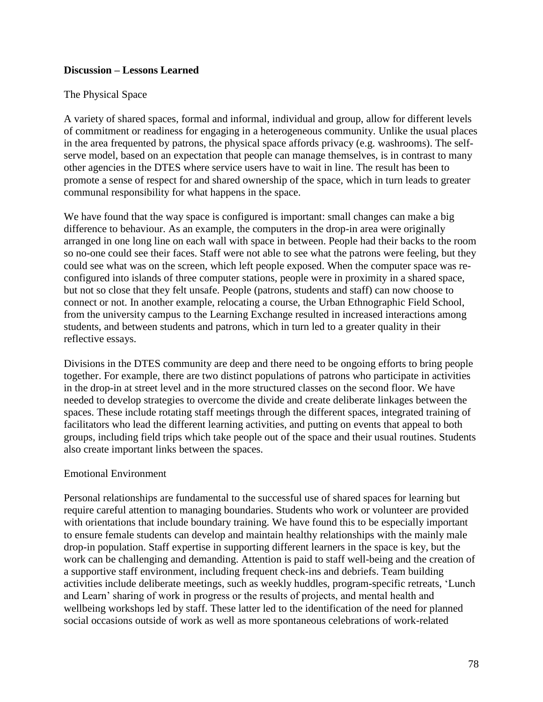### **Discussion – Lessons Learned**

### The Physical Space

A variety of shared spaces, formal and informal, individual and group, allow for different levels of commitment or readiness for engaging in a heterogeneous community. Unlike the usual places in the area frequented by patrons, the physical space affords privacy (e.g. washrooms). The selfserve model, based on an expectation that people can manage themselves, is in contrast to many other agencies in the DTES where service users have to wait in line. The result has been to promote a sense of respect for and shared ownership of the space, which in turn leads to greater communal responsibility for what happens in the space.

We have found that the way space is configured is important: small changes can make a big difference to behaviour. As an example, the computers in the drop-in area were originally arranged in one long line on each wall with space in between. People had their backs to the room so no-one could see their faces. Staff were not able to see what the patrons were feeling, but they could see what was on the screen, which left people exposed. When the computer space was reconfigured into islands of three computer stations, people were in proximity in a shared space, but not so close that they felt unsafe. People (patrons, students and staff) can now choose to connect or not. In another example, relocating a course, the Urban Ethnographic Field School, from the university campus to the Learning Exchange resulted in increased interactions among students, and between students and patrons, which in turn led to a greater quality in their reflective essays.

Divisions in the DTES community are deep and there need to be ongoing efforts to bring people together. For example, there are two distinct populations of patrons who participate in activities in the drop-in at street level and in the more structured classes on the second floor. We have needed to develop strategies to overcome the divide and create deliberate linkages between the spaces. These include rotating staff meetings through the different spaces, integrated training of facilitators who lead the different learning activities, and putting on events that appeal to both groups, including field trips which take people out of the space and their usual routines. Students also create important links between the spaces.

#### Emotional Environment

Personal relationships are fundamental to the successful use of shared spaces for learning but require careful attention to managing boundaries. Students who work or volunteer are provided with orientations that include boundary training. We have found this to be especially important to ensure female students can develop and maintain healthy relationships with the mainly male drop-in population. Staff expertise in supporting different learners in the space is key, but the work can be challenging and demanding. Attention is paid to staff well-being and the creation of a supportive staff environment, including frequent check-ins and debriefs. Team building activities include deliberate meetings, such as weekly huddles, program-specific retreats, 'Lunch and Learn' sharing of work in progress or the results of projects, and mental health and wellbeing workshops led by staff. These latter led to the identification of the need for planned social occasions outside of work as well as more spontaneous celebrations of work-related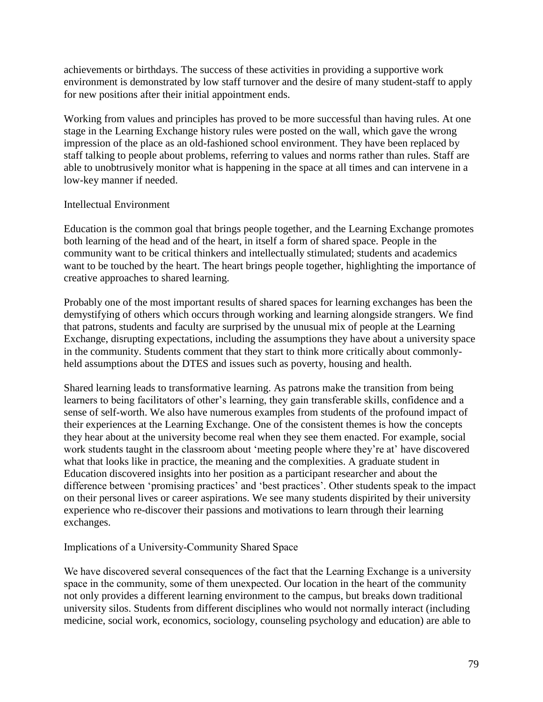achievements or birthdays. The success of these activities in providing a supportive work environment is demonstrated by low staff turnover and the desire of many student-staff to apply for new positions after their initial appointment ends.

Working from values and principles has proved to be more successful than having rules. At one stage in the Learning Exchange history rules were posted on the wall, which gave the wrong impression of the place as an old-fashioned school environment. They have been replaced by staff talking to people about problems, referring to values and norms rather than rules. Staff are able to unobtrusively monitor what is happening in the space at all times and can intervene in a low-key manner if needed.

### Intellectual Environment

Education is the common goal that brings people together, and the Learning Exchange promotes both learning of the head and of the heart, in itself a form of shared space. People in the community want to be critical thinkers and intellectually stimulated; students and academics want to be touched by the heart. The heart brings people together, highlighting the importance of creative approaches to shared learning.

Probably one of the most important results of shared spaces for learning exchanges has been the demystifying of others which occurs through working and learning alongside strangers. We find that patrons, students and faculty are surprised by the unusual mix of people at the Learning Exchange, disrupting expectations, including the assumptions they have about a university space in the community. Students comment that they start to think more critically about commonlyheld assumptions about the DTES and issues such as poverty, housing and health.

Shared learning leads to transformative learning. As patrons make the transition from being learners to being facilitators of other's learning, they gain transferable skills, confidence and a sense of self-worth. We also have numerous examples from students of the profound impact of their experiences at the Learning Exchange. One of the consistent themes is how the concepts they hear about at the university become real when they see them enacted. For example, social work students taught in the classroom about 'meeting people where they're at' have discovered what that looks like in practice, the meaning and the complexities. A graduate student in Education discovered insights into her position as a participant researcher and about the difference between 'promising practices' and 'best practices'. Other students speak to the impact on their personal lives or career aspirations. We see many students dispirited by their university experience who re-discover their passions and motivations to learn through their learning exchanges.

### Implications of a University-Community Shared Space

We have discovered several consequences of the fact that the Learning Exchange is a university space in the community, some of them unexpected. Our location in the heart of the community not only provides a different learning environment to the campus, but breaks down traditional university silos. Students from different disciplines who would not normally interact (including medicine, social work, economics, sociology, counseling psychology and education) are able to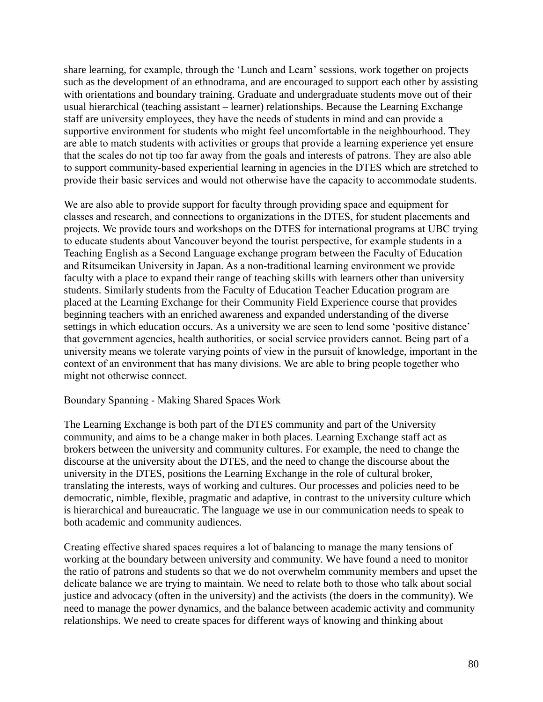share learning, for example, through the 'Lunch and Learn' sessions, work together on projects such as the development of an ethnodrama, and are encouraged to support each other by assisting with orientations and boundary training. Graduate and undergraduate students move out of their usual hierarchical (teaching assistant – learner) relationships. Because the Learning Exchange staff are university employees, they have the needs of students in mind and can provide a supportive environment for students who might feel uncomfortable in the neighbourhood. They are able to match students with activities or groups that provide a learning experience yet ensure that the scales do not tip too far away from the goals and interests of patrons. They are also able to support community-based experiential learning in agencies in the DTES which are stretched to provide their basic services and would not otherwise have the capacity to accommodate students.

We are also able to provide support for faculty through providing space and equipment for classes and research, and connections to organizations in the DTES, for student placements and projects. We provide tours and workshops on the DTES for international programs at UBC trying to educate students about Vancouver beyond the tourist perspective, for example students in a Teaching English as a Second Language exchange program between the Faculty of Education and Ritsumeikan University in Japan. As a non-traditional learning environment we provide faculty with a place to expand their range of teaching skills with learners other than university students. Similarly students from the Faculty of Education Teacher Education program are placed at the Learning Exchange for their Community Field Experience course that provides beginning teachers with an enriched awareness and expanded understanding of the diverse settings in which education occurs. As a university we are seen to lend some 'positive distance' that government agencies, health authorities, or social service providers cannot. Being part of a university means we tolerate varying points of view in the pursuit of knowledge, important in the context of an environment that has many divisions. We are able to bring people together who might not otherwise connect.

#### Boundary Spanning - Making Shared Spaces Work

The Learning Exchange is both part of the DTES community and part of the University community, and aims to be a change maker in both places. Learning Exchange staff act as brokers between the university and community cultures. For example, the need to change the discourse at the university about the DTES, and the need to change the discourse about the university in the DTES, positions the Learning Exchange in the role of cultural broker, translating the interests, ways of working and cultures. Our processes and policies need to be democratic, nimble, flexible, pragmatic and adaptive, in contrast to the university culture which is hierarchical and bureaucratic. The language we use in our communication needs to speak to both academic and community audiences.

Creating effective shared spaces requires a lot of balancing to manage the many tensions of working at the boundary between university and community. We have found a need to monitor the ratio of patrons and students so that we do not overwhelm community members and upset the delicate balance we are trying to maintain. We need to relate both to those who talk about social justice and advocacy (often in the university) and the activists (the doers in the community). We need to manage the power dynamics, and the balance between academic activity and community relationships. We need to create spaces for different ways of knowing and thinking about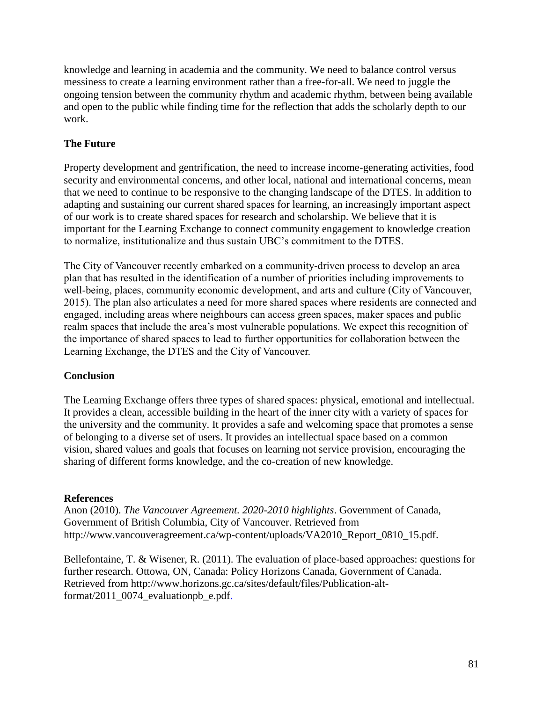knowledge and learning in academia and the community. We need to balance control versus messiness to create a learning environment rather than a free-for-all. We need to juggle the ongoing tension between the community rhythm and academic rhythm, between being available and open to the public while finding time for the reflection that adds the scholarly depth to our work.

## **The Future**

Property development and gentrification, the need to increase income-generating activities, food security and environmental concerns, and other local, national and international concerns, mean that we need to continue to be responsive to the changing landscape of the DTES. In addition to adapting and sustaining our current shared spaces for learning, an increasingly important aspect of our work is to create shared spaces for research and scholarship. We believe that it is important for the Learning Exchange to connect community engagement to knowledge creation to normalize, institutionalize and thus sustain UBC's commitment to the DTES.

The City of Vancouver recently embarked on a community-driven process to develop an area plan that has resulted in the identification of a number of priorities including improvements to well-being, places, community economic development, and arts and culture (City of Vancouver, 2015). The plan also articulates a need for more shared spaces where residents are connected and engaged, including areas where neighbours can access green spaces, maker spaces and public realm spaces that include the area's most vulnerable populations. We expect this recognition of the importance of shared spaces to lead to further opportunities for collaboration between the Learning Exchange, the DTES and the City of Vancouver.

### **Conclusion**

The Learning Exchange offers three types of shared spaces: physical, emotional and intellectual. It provides a clean, accessible building in the heart of the inner city with a variety of spaces for the university and the community. It provides a safe and welcoming space that promotes a sense of belonging to a diverse set of users. It provides an intellectual space based on a common vision, shared values and goals that focuses on learning not service provision, encouraging the sharing of different forms knowledge, and the co-creation of new knowledge.

### **References**

Anon (2010). *The Vancouver Agreement. 2020-2010 highlights*. Government of Canada, Government of British Columbia, City of Vancouver. Retrieved from http://www.vancouveragreement.ca/wp-content/uploads/VA2010\_Report\_0810\_15.pdf.

Bellefontaine, T. & Wisener, R. (2011). The evaluation of place-based approaches: questions for further research. Ottowa, ON, Canada: Policy Horizons Canada, Government of Canada. Retrieved from http://www.horizons.gc.ca/sites/default/files/Publication-altformat/2011\_0074\_evaluationpb\_e.pdf.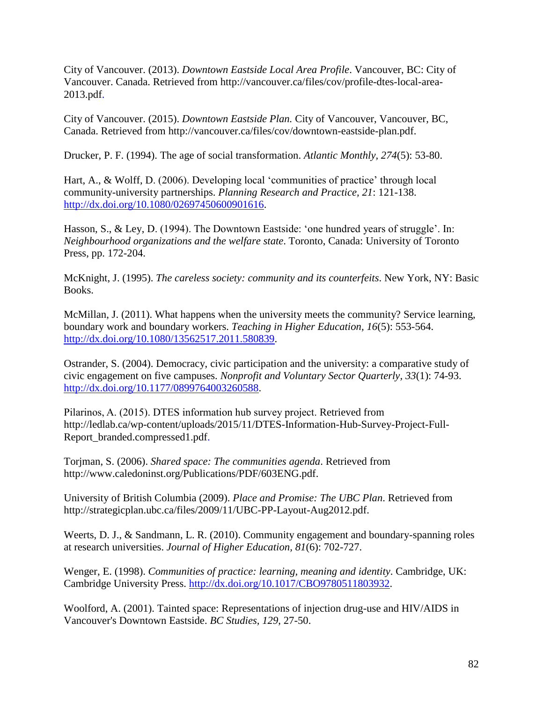City of Vancouver. (2013). *Downtown Eastside Local Area Profile*. Vancouver, BC: City of Vancouver. Canada. Retrieved from http://vancouver.ca/files/cov/profile-dtes-local-area-2013.pdf.

City of Vancouver. (2015). *Downtown Eastside Plan.* City of Vancouver, Vancouver, BC, Canada. Retrieved from http://vancouver.ca/files/cov/downtown-eastside-plan.pdf.

Drucker, P. F. (1994). The age of social transformation. *Atlantic Monthly, 274*(5): 53-80.

Hart, A., & Wolff, D. (2006). Developing local 'communities of practice' through local community-university partnerships. *Planning Research and Practice, 21*: 121-138. [http://dx.doi.org/10.1080/02697450600901616.](http://dx.doi.org/10.1080/02697450600901616)

Hasson, S., & Ley, D. (1994). The Downtown Eastside: 'one hundred years of struggle'. In: *Neighbourhood organizations and the welfare state*. Toronto, Canada: University of Toronto Press, pp. 172-204.

McKnight, J. (1995). *The careless society: community and its counterfeits*. New York, NY: Basic Books.

McMillan, J. (2011). What happens when the university meets the community? Service learning, boundary work and boundary workers. *Teaching in Higher Education, 16*(5): 553-564. [http://dx.doi.org/10.1080/13562517.2011.580839.](http://dx.doi.org/10.1080/13562517.2011.580839)

Ostrander, S. (2004). Democracy, civic participation and the university: a comparative study of civic engagement on five campuses. *Nonprofit and Voluntary Sector Quarterly, 33*(1): 74-93. [http://dx.doi.org/10.1177/0899764003260588.](http://dx.doi.org/10.1177/0899764003260588)

Pilarinos, A. (2015). DTES information hub survey project. Retrieved from http://ledlab.ca/wp-content/uploads/2015/11/DTES-Information-Hub-Survey-Project-Full-Report\_branded.compressed1.pdf.

Torjman, S. (2006). *Shared space: The communities agenda*. Retrieved from http://www.caledoninst.org/Publications/PDF/603ENG.pdf.

University of British Columbia (2009). *Place and Promise: The UBC Plan*. Retrieved from http://strategicplan.ubc.ca/files/2009/11/UBC-PP-Layout-Aug2012.pdf.

Weerts, D. J., & Sandmann, L. R. (2010). Community engagement and boundary-spanning roles at research universities. *Journal of Higher Education, 81*(6): 702-727.

Wenger, E. (1998). *Communities of practice: learning, meaning and identity*. Cambridge, UK: Cambridge University Press. [http://dx.doi.org/10.1017/CBO9780511803932.](http://dx.doi.org/10.1017/CBO9780511803932)

Woolford, A. (2001). Tainted space: Representations of injection drug-use and HIV/AIDS in Vancouver's Downtown Eastside. *BC Studies, 129*, 27-50.